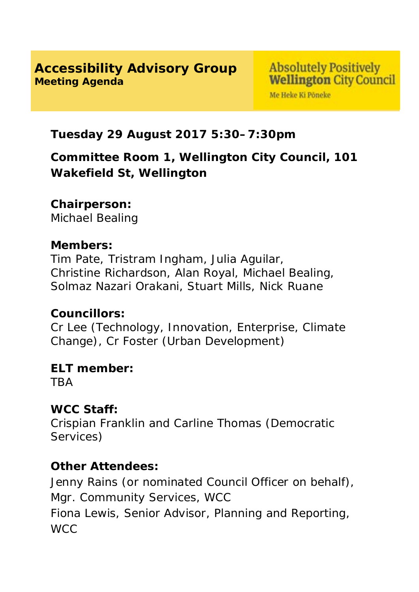### **Accessibility Advisory Group Meeting Agenda**

Me Heke Ki Pôneke

## **Tuesday 29 August 2017 5:30–7:30pm**

# **Committee Room 1, Wellington City Council, 101 Wakefield St, Wellington**

### **Chairperson:**

Michael Bealing

#### **Members:**

Tim Pate, Tristram Ingham, Julia Aguilar, Christine Richardson, Alan Royal, Michael Bealing, Solmaz Nazari Orakani, Stuart Mills, Nick Ruane

### **Councillors:**

Cr Lee (Technology, Innovation, Enterprise, Climate Change), Cr Foster (Urban Development)

# **ELT member:**

**TRA** 

### **WCC Staff:**

Crispian Franklin and Carline Thomas (Democratic Services)

### **Other Attendees:**

Jenny Rains (or nominated Council Officer on behalf), Mgr. Community Services, WCC Fiona Lewis, Senior Advisor, Planning and Reporting, WCC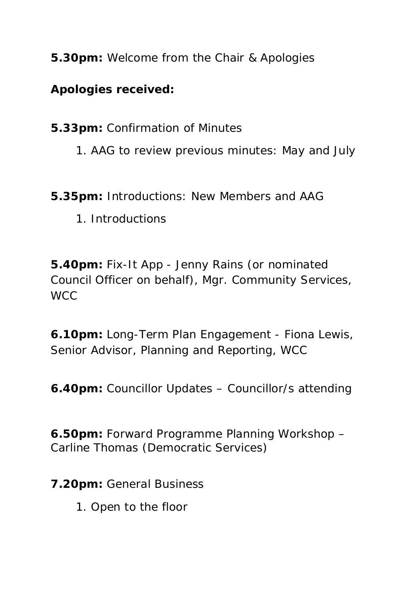**5.30pm:** Welcome from the Chair & Apologies

## **Apologies received:**

**5.33pm:** Confirmation of Minutes

1. AAG to review previous minutes: May and July

**5.35pm:** Introductions: New Members and AAG

1. Introductions

**5.40pm:** Fix-It App - Jenny Rains (or nominated Council Officer on behalf), Mgr. Community Services, **WCC** 

**6.10pm:** Long-Term Plan Engagement - Fiona Lewis, Senior Advisor, Planning and Reporting, WCC

**6.40pm:** Councillor Updates – Councillor/s attending

**6.50pm:** Forward Programme Planning Workshop – Carline Thomas (Democratic Services)

**7.20pm:** General Business

1. Open to the floor